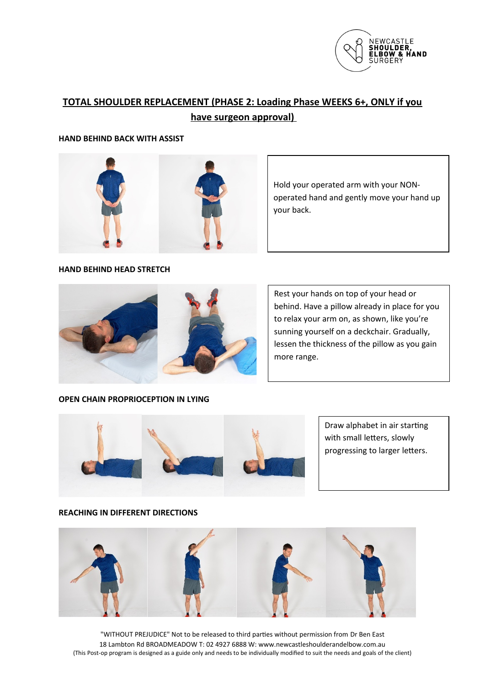

# **TOTAL SHOULDER REPLACEMENT (PHASE 2: Loading Phase WEEKS 6+, ONLY if you have surgeon approval)**

### **HAND BEHIND BACK WITH ASSIST**



Hold your operated arm with your NONoperated hand and gently move your hand up your back.

**HAND BEHIND HEAD STRETCH**



Rest your hands on top of your head or behind. Have a pillow already in place for you to relax your arm on, as shown, like you're sunning yourself on a deckchair. Gradually, lessen the thickness of the pillow as you gain more range.

### **OPEN CHAIN PROPRIOCEPTION IN LYING**



Draw alphabet in air starting with small letters, slowly progressing to larger letters.

### **REACHING IN DIFFERENT DIRECTIONS**



"WITHOUT PREJUDICE" Not to be released to third parties without permission from Dr Ben East 18 Lambton Rd BROADMEADOW T: 02 4927 6888 W: www.newcastleshoulderandelbow.com.au (This Post-op program is designed as a guide only and needs to be individually modified to suit the needs and goals of the client)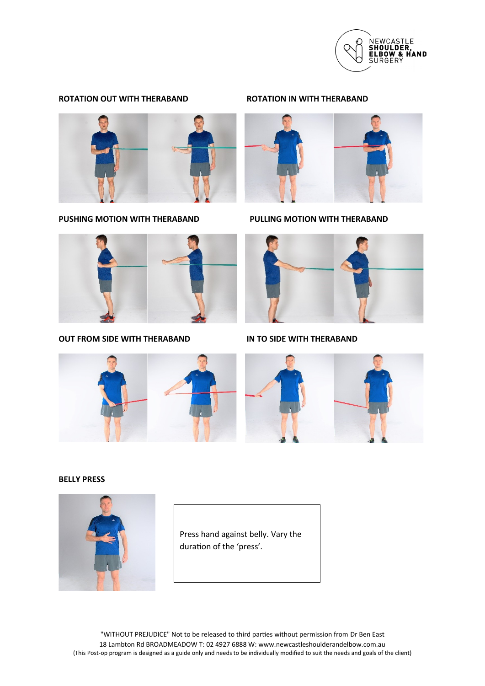

### **ROTATION OUT WITH THERABAND ROTATION IN WITH THERABAND**





**OUT FROM SIDE WITH THERABAND IN TO SIDE WITH THERABAND**



**PUSHING MOTION WITH THERABAND PULLING MOTION WITH THERABAND**





### **BELLY PRESS**



Press hand against belly. Vary the duration of the 'press'.